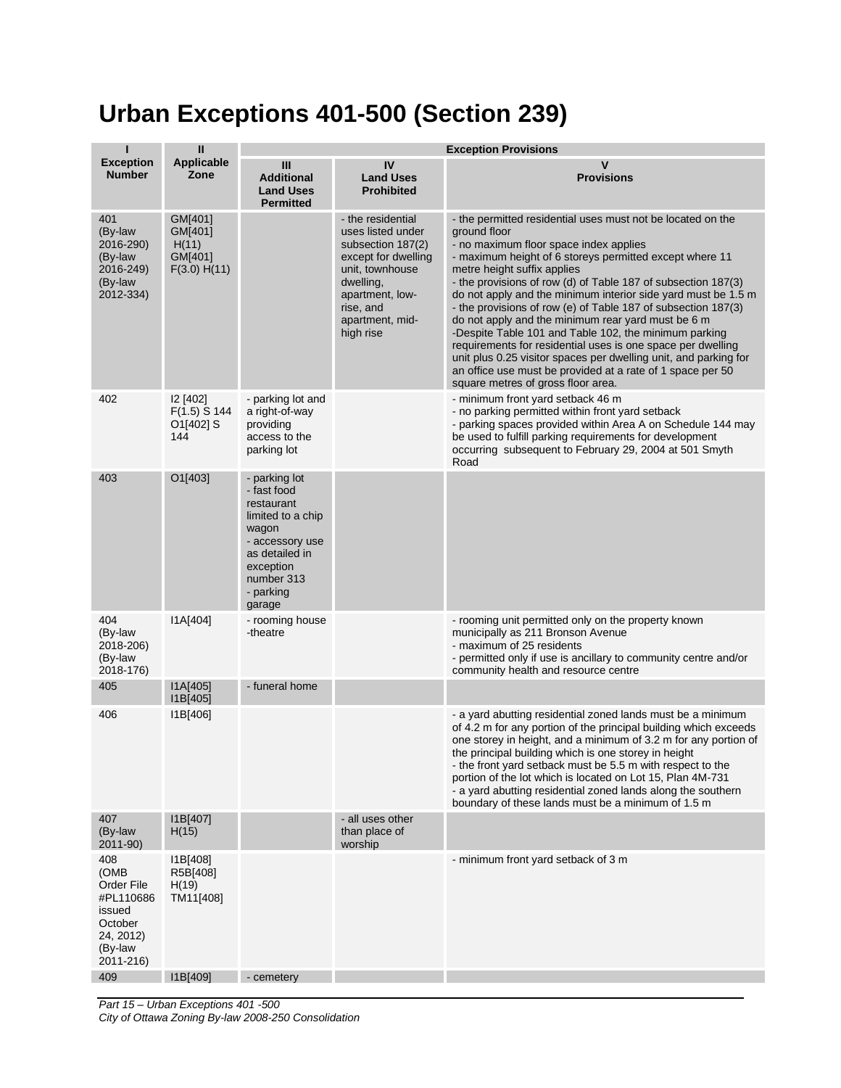## **Urban Exceptions 401-500 (Section 239)**

| п                                                                                                | $\mathbf{II}$                                          | <b>Exception Provisions</b>                                                                                                                                     |                                                                                                                                                                                    |                                                                                                                                                                                                                                                                                                                                                                                                                                                                                                                                                                                                                                                                                                                                                                          |
|--------------------------------------------------------------------------------------------------|--------------------------------------------------------|-----------------------------------------------------------------------------------------------------------------------------------------------------------------|------------------------------------------------------------------------------------------------------------------------------------------------------------------------------------|--------------------------------------------------------------------------------------------------------------------------------------------------------------------------------------------------------------------------------------------------------------------------------------------------------------------------------------------------------------------------------------------------------------------------------------------------------------------------------------------------------------------------------------------------------------------------------------------------------------------------------------------------------------------------------------------------------------------------------------------------------------------------|
| <b>Exception</b><br><b>Number</b>                                                                | <b>Applicable</b><br>Zone                              | III<br><b>Additional</b><br><b>Land Uses</b><br><b>Permitted</b>                                                                                                | IV<br><b>Land Uses</b><br><b>Prohibited</b>                                                                                                                                        | v<br><b>Provisions</b>                                                                                                                                                                                                                                                                                                                                                                                                                                                                                                                                                                                                                                                                                                                                                   |
| 401<br>(By-law<br>2016-290)<br>(By-law<br>2016-249)<br>(By-law<br>2012-334)                      | GM[401]<br>GM[401]<br>H(11)<br>GM[401]<br>F(3.0) H(11) |                                                                                                                                                                 | - the residential<br>uses listed under<br>subsection 187(2)<br>except for dwelling<br>unit, townhouse<br>dwelling,<br>apartment, low-<br>rise, and<br>apartment, mid-<br>high rise | - the permitted residential uses must not be located on the<br>ground floor<br>- no maximum floor space index applies<br>- maximum height of 6 storeys permitted except where 11<br>metre height suffix applies<br>- the provisions of row (d) of Table 187 of subsection 187(3)<br>do not apply and the minimum interior side yard must be 1.5 m<br>- the provisions of row (e) of Table 187 of subsection 187(3)<br>do not apply and the minimum rear yard must be 6 m<br>-Despite Table 101 and Table 102, the minimum parking<br>requirements for residential uses is one space per dwelling<br>unit plus 0.25 visitor spaces per dwelling unit, and parking for<br>an office use must be provided at a rate of 1 space per 50<br>square metres of gross floor area. |
| 402                                                                                              | <b>12 [402]</b><br>$F(1.5)$ S 144<br>O1[402] S<br>144  | - parking lot and<br>a right-of-way<br>providing<br>access to the<br>parking lot                                                                                |                                                                                                                                                                                    | - minimum front yard setback 46 m<br>- no parking permitted within front yard setback<br>- parking spaces provided within Area A on Schedule 144 may<br>be used to fulfill parking requirements for development<br>occurring subsequent to February 29, 2004 at 501 Smyth<br>Road                                                                                                                                                                                                                                                                                                                                                                                                                                                                                        |
| 403                                                                                              | O1[403]                                                | - parking lot<br>- fast food<br>restaurant<br>limited to a chip<br>wagon<br>- accessory use<br>as detailed in<br>exception<br>number 313<br>- parking<br>garage |                                                                                                                                                                                    |                                                                                                                                                                                                                                                                                                                                                                                                                                                                                                                                                                                                                                                                                                                                                                          |
| 404<br>(By-law<br>2018-206)<br>(By-law<br>2018-176)                                              | I1A[404]                                               | - rooming house<br>-theatre                                                                                                                                     |                                                                                                                                                                                    | - rooming unit permitted only on the property known<br>municipally as 211 Bronson Avenue<br>- maximum of 25 residents<br>- permitted only if use is ancillary to community centre and/or<br>community health and resource centre                                                                                                                                                                                                                                                                                                                                                                                                                                                                                                                                         |
| 405                                                                                              | IA[405]<br>I1B[405]                                    | - funeral home                                                                                                                                                  |                                                                                                                                                                                    |                                                                                                                                                                                                                                                                                                                                                                                                                                                                                                                                                                                                                                                                                                                                                                          |
| 406                                                                                              | I1B[406]                                               |                                                                                                                                                                 |                                                                                                                                                                                    | - a yard abutting residential zoned lands must be a minimum<br>of 4.2 m for any portion of the principal building which exceeds<br>one storey in height, and a minimum of 3.2 m for any portion of<br>the principal building which is one storey in height<br>- the front yard setback must be 5.5 m with respect to the<br>portion of the lot which is located on Lot 15, Plan 4M-731<br>- a yard abutting residential zoned lands along the southern<br>boundary of these lands must be a minimum of 1.5 m                                                                                                                                                                                                                                                             |
| 407<br>(By-law<br>2011-90)                                                                       | I1B[407]<br>H(15)                                      |                                                                                                                                                                 | - all uses other<br>than place of<br>worship                                                                                                                                       |                                                                                                                                                                                                                                                                                                                                                                                                                                                                                                                                                                                                                                                                                                                                                                          |
| 408<br>(OMB<br>Order File<br>#PL110686<br>issued<br>October<br>24, 2012)<br>(By-law<br>2011-216) | 11B[408]<br>R5B[408]<br>H(19)<br>TM11[408]             |                                                                                                                                                                 |                                                                                                                                                                                    | - minimum front yard setback of 3 m                                                                                                                                                                                                                                                                                                                                                                                                                                                                                                                                                                                                                                                                                                                                      |
| 409                                                                                              | I1B[409]                                               | - cemetery                                                                                                                                                      |                                                                                                                                                                                    |                                                                                                                                                                                                                                                                                                                                                                                                                                                                                                                                                                                                                                                                                                                                                                          |

*Part 15 – Urban Exceptions 401 -500 City of Ottawa Zoning By-law 2008-250 Consolidation*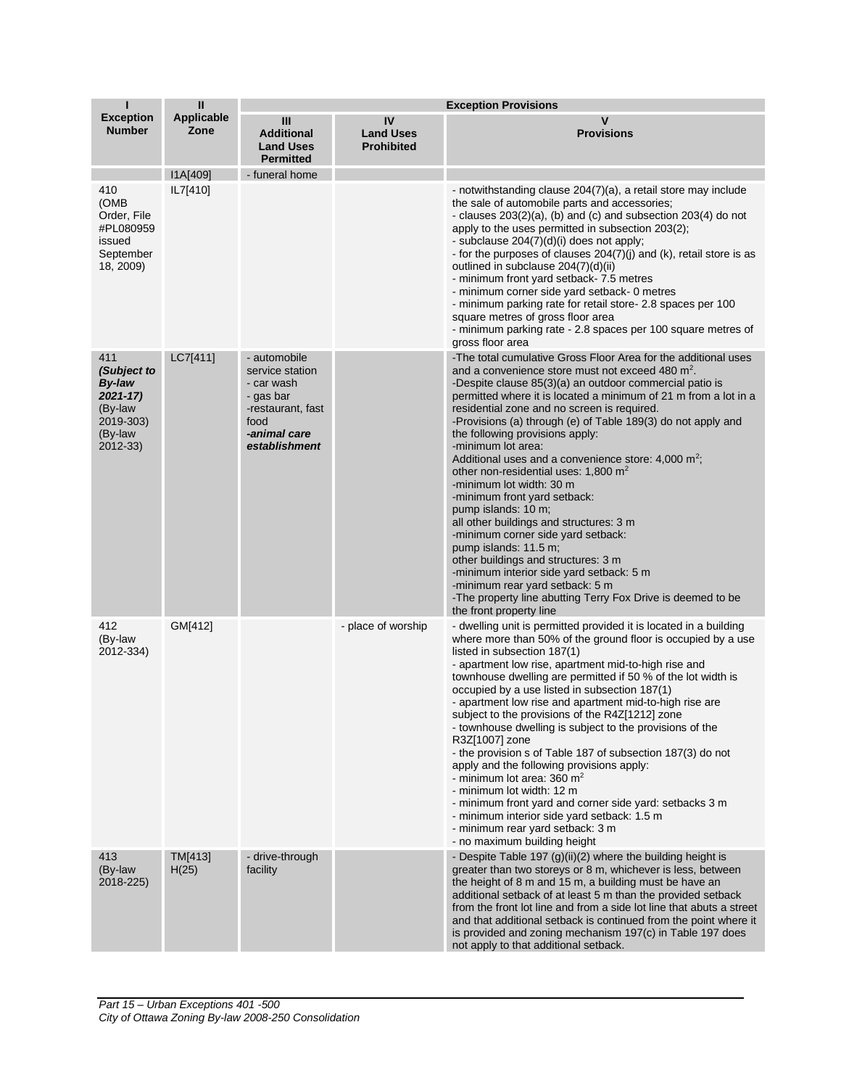| П                                                                                              | $\mathbf{II}$             | <b>Exception Provisions</b>                                                                                              |                                             |                                                                                                                                                                                                                                                                                                                                                                                                                                                                                                                                                                                                                                                                                                                                                                                                                                                                                                                                                                          |
|------------------------------------------------------------------------------------------------|---------------------------|--------------------------------------------------------------------------------------------------------------------------|---------------------------------------------|--------------------------------------------------------------------------------------------------------------------------------------------------------------------------------------------------------------------------------------------------------------------------------------------------------------------------------------------------------------------------------------------------------------------------------------------------------------------------------------------------------------------------------------------------------------------------------------------------------------------------------------------------------------------------------------------------------------------------------------------------------------------------------------------------------------------------------------------------------------------------------------------------------------------------------------------------------------------------|
| <b>Exception</b><br><b>Number</b>                                                              | <b>Applicable</b><br>Zone | Ш<br><b>Additional</b><br><b>Land Uses</b><br><b>Permitted</b>                                                           | IV<br><b>Land Uses</b><br><b>Prohibited</b> | $\mathsf{v}$<br><b>Provisions</b>                                                                                                                                                                                                                                                                                                                                                                                                                                                                                                                                                                                                                                                                                                                                                                                                                                                                                                                                        |
|                                                                                                | I1A[409]                  | - funeral home                                                                                                           |                                             |                                                                                                                                                                                                                                                                                                                                                                                                                                                                                                                                                                                                                                                                                                                                                                                                                                                                                                                                                                          |
| 410<br>(OMB<br>Order, File<br>#PL080959<br>issued<br>September<br>18, 2009)                    | IL7[410]                  |                                                                                                                          |                                             | - notwithstanding clause 204(7)(a), a retail store may include<br>the sale of automobile parts and accessories;<br>- clauses $203(2)(a)$ , (b) and (c) and subsection $203(4)$ do not<br>apply to the uses permitted in subsection 203(2);<br>- subclause 204(7)(d)(i) does not apply;<br>- for the purposes of clauses 204(7)(j) and (k), retail store is as<br>outlined in subclause 204(7)(d)(ii)<br>- minimum front yard setback- 7.5 metres<br>- minimum corner side yard setback- 0 metres<br>- minimum parking rate for retail store- 2.8 spaces per 100<br>square metres of gross floor area<br>- minimum parking rate - 2.8 spaces per 100 square metres of<br>gross floor area                                                                                                                                                                                                                                                                                 |
| 411<br>(Subject to<br><b>By-law</b><br>2021-17)<br>(By-law<br>2019-303)<br>(By-law<br>2012-33) | LC7[411]                  | - automobile<br>service station<br>- car wash<br>- gas bar<br>-restaurant, fast<br>food<br>-animal care<br>establishment |                                             | -The total cumulative Gross Floor Area for the additional uses<br>and a convenience store must not exceed 480 m <sup>2</sup> .<br>-Despite clause 85(3)(a) an outdoor commercial patio is<br>permitted where it is located a minimum of 21 m from a lot in a<br>residential zone and no screen is required.<br>-Provisions (a) through (e) of Table 189(3) do not apply and<br>the following provisions apply:<br>-minimum lot area:<br>Additional uses and a convenience store: 4,000 m <sup>2</sup> ;<br>other non-residential uses: 1,800 m <sup>2</sup><br>-minimum lot width: 30 m<br>-minimum front yard setback:<br>pump islands: 10 m;<br>all other buildings and structures: 3 m<br>-minimum corner side yard setback:<br>pump islands: 11.5 m;<br>other buildings and structures: 3 m<br>-minimum interior side yard setback: 5 m<br>-minimum rear yard setback: 5 m<br>-The property line abutting Terry Fox Drive is deemed to be<br>the front property line |
| 412<br>(By-law<br>2012-334)                                                                    | GM[412]                   |                                                                                                                          | - place of worship                          | - dwelling unit is permitted provided it is located in a building<br>where more than 50% of the ground floor is occupied by a use<br>listed in subsection 187(1)<br>- apartment low rise, apartment mid-to-high rise and<br>townhouse dwelling are permitted if 50 % of the lot width is<br>occupied by a use listed in subsection 187(1)<br>- apartment low rise and apartment mid-to-high rise are<br>subject to the provisions of the R4Z[1212] zone<br>- townhouse dwelling is subject to the provisions of the<br>R3Z[1007] zone<br>- the provision s of Table 187 of subsection 187(3) do not<br>apply and the following provisions apply:<br>- minimum lot area: $360 \text{ m}^2$<br>- minimum lot width: 12 m<br>- minimum front yard and corner side yard: setbacks 3 m<br>- minimum interior side yard setback: 1.5 m<br>- minimum rear yard setback: 3 m<br>- no maximum building height                                                                     |
| 413<br>(By-law<br>2018-225)                                                                    | TM[413]<br>H(25)          | - drive-through<br>facility                                                                                              |                                             | - Despite Table 197 (g)(ii)(2) where the building height is<br>greater than two storeys or 8 m, whichever is less, between<br>the height of 8 m and 15 m, a building must be have an<br>additional setback of at least 5 m than the provided setback<br>from the front lot line and from a side lot line that abuts a street<br>and that additional setback is continued from the point where it<br>is provided and zoning mechanism 197(c) in Table 197 does<br>not apply to that additional setback.                                                                                                                                                                                                                                                                                                                                                                                                                                                                   |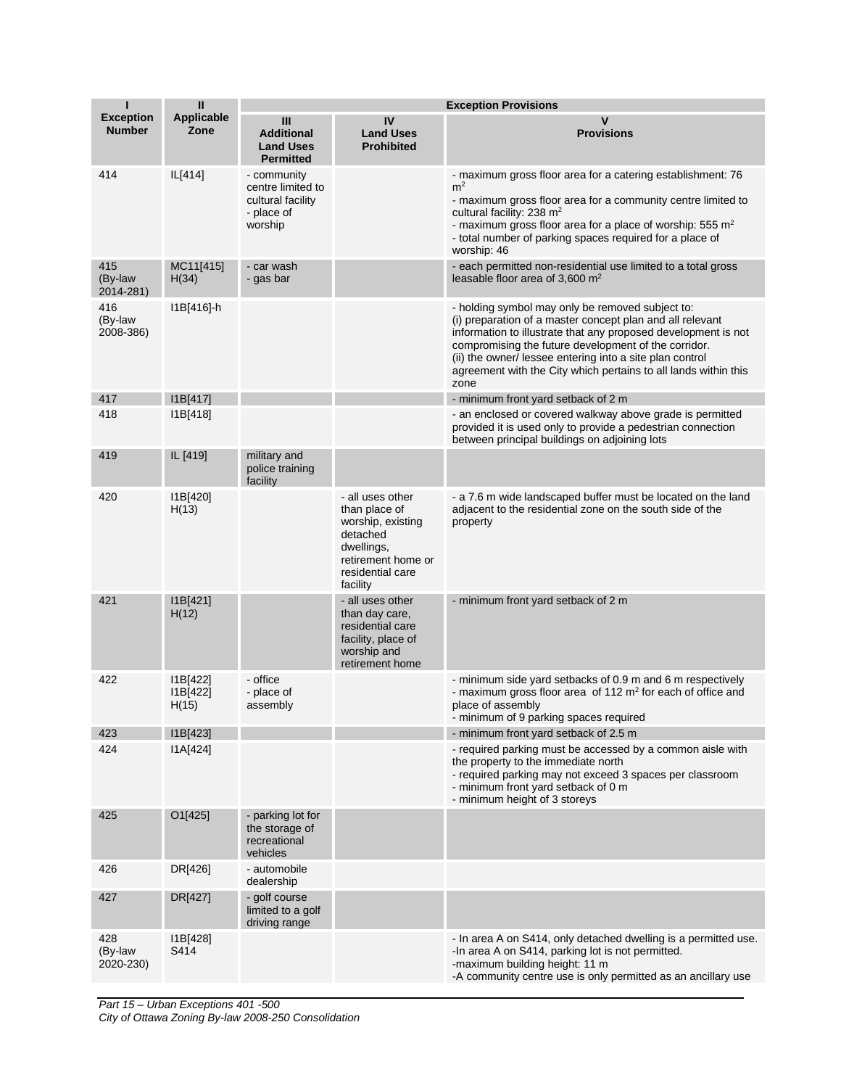| П                                 | $\mathbf{II}$                 | <b>Exception Provisions</b>                                                    |                                                                                                                                        |                                                                                                                                                                                                                                                                                                                                                                                |
|-----------------------------------|-------------------------------|--------------------------------------------------------------------------------|----------------------------------------------------------------------------------------------------------------------------------------|--------------------------------------------------------------------------------------------------------------------------------------------------------------------------------------------------------------------------------------------------------------------------------------------------------------------------------------------------------------------------------|
| <b>Exception</b><br><b>Number</b> | <b>Applicable</b><br>Zone     | Ш<br><b>Additional</b><br><b>Land Uses</b><br><b>Permitted</b>                 | IV<br><b>Land Uses</b><br><b>Prohibited</b>                                                                                            | $\mathbf v$<br><b>Provisions</b>                                                                                                                                                                                                                                                                                                                                               |
| 414                               | IL[414]                       | - community<br>centre limited to<br>cultural facility<br>- place of<br>worship |                                                                                                                                        | - maximum gross floor area for a catering establishment: 76<br>m <sup>2</sup><br>- maximum gross floor area for a community centre limited to<br>cultural facility: 238 m <sup>2</sup><br>- maximum gross floor area for a place of worship: 555 $m2$<br>- total number of parking spaces required for a place of<br>worship: 46                                               |
| 415<br>(By-law<br>2014-281)       | MC11[415]<br>H(34)            | - car wash<br>- gas bar                                                        |                                                                                                                                        | - each permitted non-residential use limited to a total gross<br>leasable floor area of 3,600 $m2$                                                                                                                                                                                                                                                                             |
| 416<br>(By-law<br>2008-386)       | I1B[416]-h                    |                                                                                |                                                                                                                                        | - holding symbol may only be removed subject to:<br>(i) preparation of a master concept plan and all relevant<br>information to illustrate that any proposed development is not<br>compromising the future development of the corridor.<br>(ii) the owner/ lessee entering into a site plan control<br>agreement with the City which pertains to all lands within this<br>zone |
| 417                               | I1B[417]                      |                                                                                |                                                                                                                                        | - minimum front yard setback of 2 m                                                                                                                                                                                                                                                                                                                                            |
| 418                               | I1B[418]                      |                                                                                |                                                                                                                                        | - an enclosed or covered walkway above grade is permitted<br>provided it is used only to provide a pedestrian connection<br>between principal buildings on adjoining lots                                                                                                                                                                                                      |
| 419                               | IL [419]                      | military and<br>police training<br>facility                                    |                                                                                                                                        |                                                                                                                                                                                                                                                                                                                                                                                |
| 420                               | 11B[420]<br>H(13)             |                                                                                | - all uses other<br>than place of<br>worship, existing<br>detached<br>dwellings,<br>retirement home or<br>residential care<br>facility | - a 7.6 m wide landscaped buffer must be located on the land<br>adjacent to the residential zone on the south side of the<br>property                                                                                                                                                                                                                                          |
| 421                               | I1B[421]<br>H(12)             |                                                                                | - all uses other<br>than day care,<br>residential care<br>facility, place of<br>worship and<br>retirement home                         | - minimum front yard setback of 2 m                                                                                                                                                                                                                                                                                                                                            |
| 422                               | 11B[422]<br>11B[422]<br>H(15) | - office<br>- place of<br>assembly                                             |                                                                                                                                        | - minimum side yard setbacks of 0.9 m and 6 m respectively<br>- maximum gross floor area of 112 $m2$ for each of office and<br>place of assembly<br>- minimum of 9 parking spaces required                                                                                                                                                                                     |
| 423                               | I1B[423]                      |                                                                                |                                                                                                                                        | - minimum front yard setback of 2.5 m                                                                                                                                                                                                                                                                                                                                          |
| 424                               | I1A[424]                      |                                                                                |                                                                                                                                        | - required parking must be accessed by a common aisle with<br>the property to the immediate north<br>- required parking may not exceed 3 spaces per classroom<br>- minimum front yard setback of 0 m<br>- minimum height of 3 storeys                                                                                                                                          |
| 425                               | O1[425]                       | - parking lot for<br>the storage of<br>recreational<br>vehicles                |                                                                                                                                        |                                                                                                                                                                                                                                                                                                                                                                                |
| 426                               | DR[426]                       | - automobile<br>dealership                                                     |                                                                                                                                        |                                                                                                                                                                                                                                                                                                                                                                                |
| 427                               | DR[427]                       | - golf course<br>limited to a golf<br>driving range                            |                                                                                                                                        |                                                                                                                                                                                                                                                                                                                                                                                |
| 428<br>(By-law<br>2020-230)       | I1B[428]<br>S414              |                                                                                |                                                                                                                                        | - In area A on S414, only detached dwelling is a permitted use.<br>-In area A on S414, parking lot is not permitted.<br>-maximum building height: 11 m<br>-A community centre use is only permitted as an ancillary use                                                                                                                                                        |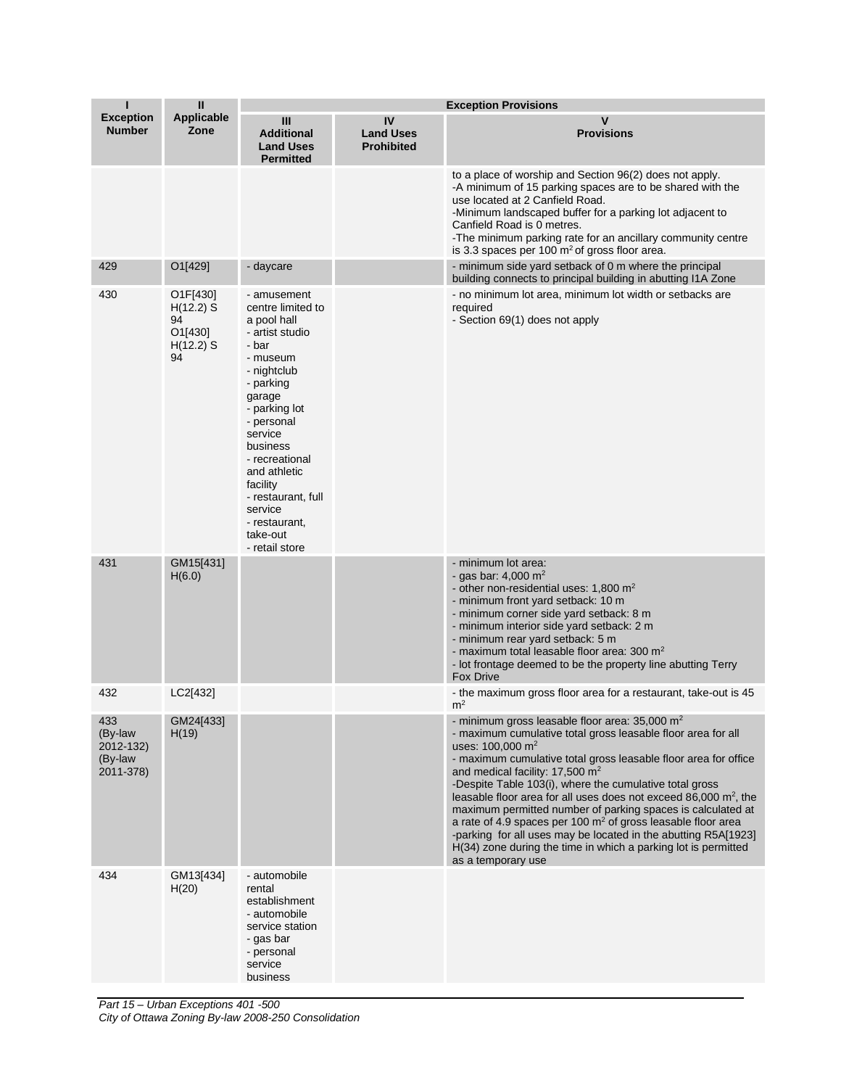| ı                                                   | $\mathbf{II}$                                                 | <b>Exception Provisions</b>                                                                                                                                                                                                                                                                                       |                                             |                                                                                                                                                                                                                                                                                                                                                                                                                                                                                                                                                                                                                                                                                                |
|-----------------------------------------------------|---------------------------------------------------------------|-------------------------------------------------------------------------------------------------------------------------------------------------------------------------------------------------------------------------------------------------------------------------------------------------------------------|---------------------------------------------|------------------------------------------------------------------------------------------------------------------------------------------------------------------------------------------------------------------------------------------------------------------------------------------------------------------------------------------------------------------------------------------------------------------------------------------------------------------------------------------------------------------------------------------------------------------------------------------------------------------------------------------------------------------------------------------------|
| <b>Exception</b><br><b>Number</b>                   | <b>Applicable</b><br>Zone                                     | Ш<br><b>Additional</b><br><b>Land Uses</b><br><b>Permitted</b>                                                                                                                                                                                                                                                    | IV<br><b>Land Uses</b><br><b>Prohibited</b> | v<br><b>Provisions</b>                                                                                                                                                                                                                                                                                                                                                                                                                                                                                                                                                                                                                                                                         |
|                                                     |                                                               |                                                                                                                                                                                                                                                                                                                   |                                             | to a place of worship and Section 96(2) does not apply.<br>-A minimum of 15 parking spaces are to be shared with the<br>use located at 2 Canfield Road.<br>-Minimum landscaped buffer for a parking lot adjacent to<br>Canfield Road is 0 metres.<br>-The minimum parking rate for an ancillary community centre<br>is 3.3 spaces per 100 $m2$ of gross floor area.                                                                                                                                                                                                                                                                                                                            |
| 429                                                 | O1[429]                                                       | - daycare                                                                                                                                                                                                                                                                                                         |                                             | - minimum side yard setback of 0 m where the principal<br>building connects to principal building in abutting I1A Zone                                                                                                                                                                                                                                                                                                                                                                                                                                                                                                                                                                         |
| 430                                                 | O1F[430]<br>$H(12.2)$ S<br>94<br>O1[430]<br>$H(12.2)$ S<br>94 | - amusement<br>centre limited to<br>a pool hall<br>- artist studio<br>- bar<br>- museum<br>- nightclub<br>- parking<br>garage<br>- parking lot<br>- personal<br>service<br>business<br>- recreational<br>and athletic<br>facility<br>- restaurant, full<br>service<br>- restaurant,<br>take-out<br>- retail store |                                             | - no minimum lot area, minimum lot width or setbacks are<br>required<br>- Section 69(1) does not apply                                                                                                                                                                                                                                                                                                                                                                                                                                                                                                                                                                                         |
| 431                                                 | GM15[431]<br>H(6.0)                                           |                                                                                                                                                                                                                                                                                                                   |                                             | - minimum lot area:<br>- gas bar: $4,000 \text{ m}^2$<br>- other non-residential uses: 1,800 m <sup>2</sup><br>- minimum front yard setback: 10 m<br>- minimum corner side yard setback: 8 m<br>- minimum interior side yard setback: 2 m<br>- minimum rear yard setback: 5 m<br>- maximum total leasable floor area: $300 \text{ m}^2$<br>- lot frontage deemed to be the property line abutting Terry<br>Fox Drive                                                                                                                                                                                                                                                                           |
| 432                                                 | LC2[432]                                                      |                                                                                                                                                                                                                                                                                                                   |                                             | - the maximum gross floor area for a restaurant, take-out is 45<br>m <sup>2</sup>                                                                                                                                                                                                                                                                                                                                                                                                                                                                                                                                                                                                              |
| 433<br>(By-law<br>2012-132)<br>(By-law<br>2011-378) | GM24[433]<br>H(19)                                            |                                                                                                                                                                                                                                                                                                                   |                                             | - minimum gross leasable floor area: 35,000 m <sup>2</sup><br>- maximum cumulative total gross leasable floor area for all<br>uses: $100,000 \text{ m}^2$<br>- maximum cumulative total gross leasable floor area for office<br>and medical facility: 17,500 $m2$<br>-Despite Table 103(i), where the cumulative total gross<br>leasable floor area for all uses does not exceed 86,000 $m^2$ , the<br>maximum permitted number of parking spaces is calculated at<br>a rate of 4.9 spaces per 100 $m2$ of gross leasable floor area<br>-parking for all uses may be located in the abutting R5A[1923]<br>H(34) zone during the time in which a parking lot is permitted<br>as a temporary use |
| 434                                                 | GM13[434]<br>H(20)                                            | - automobile<br>rental<br>establishment<br>- automobile<br>service station<br>- gas bar<br>- personal<br>service<br>business                                                                                                                                                                                      |                                             |                                                                                                                                                                                                                                                                                                                                                                                                                                                                                                                                                                                                                                                                                                |

*Part 15 – Urban Exceptions 401 -500 City of Ottawa Zoning By-law 2008-250 Consolidation*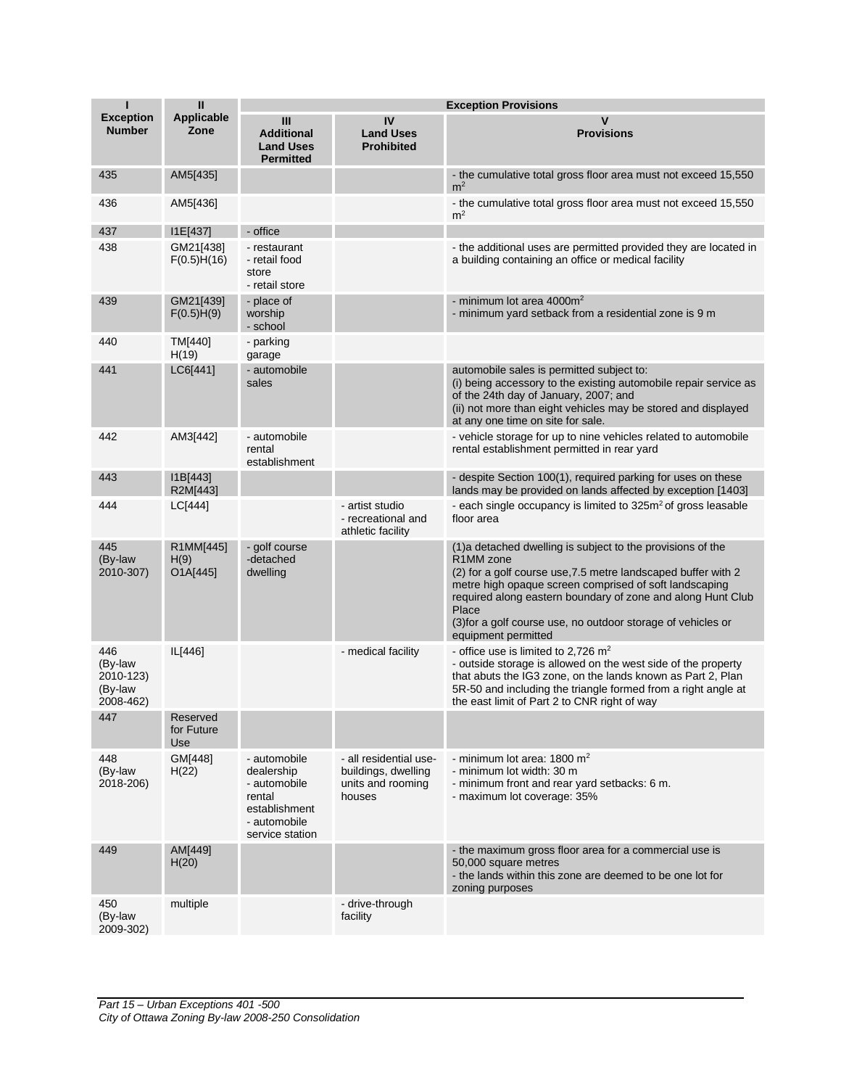| Т                                                   | $\sf II$                      |                                                                                                          | <b>Exception Provisions</b>                                                  |                                                                                                                                                                                                                                                                                                                                                                                           |
|-----------------------------------------------------|-------------------------------|----------------------------------------------------------------------------------------------------------|------------------------------------------------------------------------------|-------------------------------------------------------------------------------------------------------------------------------------------------------------------------------------------------------------------------------------------------------------------------------------------------------------------------------------------------------------------------------------------|
| <b>Exception</b><br><b>Number</b>                   | <b>Applicable</b><br>Zone     | Ш<br><b>Additional</b><br><b>Land Uses</b><br><b>Permitted</b>                                           | IV<br><b>Land Uses</b><br><b>Prohibited</b>                                  | V<br><b>Provisions</b>                                                                                                                                                                                                                                                                                                                                                                    |
| 435                                                 | AM5[435]                      |                                                                                                          |                                                                              | - the cumulative total gross floor area must not exceed 15,550<br>m <sup>2</sup>                                                                                                                                                                                                                                                                                                          |
| 436                                                 | AM5[436]                      |                                                                                                          |                                                                              | - the cumulative total gross floor area must not exceed 15,550<br>m <sup>2</sup>                                                                                                                                                                                                                                                                                                          |
| 437                                                 | I1E[437]                      | - office                                                                                                 |                                                                              |                                                                                                                                                                                                                                                                                                                                                                                           |
| 438                                                 | GM21[438]<br>F(0.5)H(16)      | - restaurant<br>- retail food<br>store<br>- retail store                                                 |                                                                              | - the additional uses are permitted provided they are located in<br>a building containing an office or medical facility                                                                                                                                                                                                                                                                   |
| 439                                                 | GM21[439]<br>F(0.5)H(9)       | - place of<br>worship<br>- school                                                                        |                                                                              | - minimum lot area 4000m <sup>2</sup><br>- minimum yard setback from a residential zone is 9 m                                                                                                                                                                                                                                                                                            |
| 440                                                 | TM[440]<br>H(19)              | - parking<br>garage                                                                                      |                                                                              |                                                                                                                                                                                                                                                                                                                                                                                           |
| 441                                                 | LC6[441]                      | - automobile<br>sales                                                                                    |                                                                              | automobile sales is permitted subject to:<br>(i) being accessory to the existing automobile repair service as<br>of the 24th day of January, 2007; and<br>(ii) not more than eight vehicles may be stored and displayed<br>at any one time on site for sale.                                                                                                                              |
| 442                                                 | AM3[442]                      | - automobile<br>rental<br>establishment                                                                  |                                                                              | - vehicle storage for up to nine vehicles related to automobile<br>rental establishment permitted in rear yard                                                                                                                                                                                                                                                                            |
| 443                                                 | 11B[443]<br>R2M[443]          |                                                                                                          |                                                                              | - despite Section 100(1), required parking for uses on these<br>lands may be provided on lands affected by exception [1403]                                                                                                                                                                                                                                                               |
| 444                                                 | LC[444]                       |                                                                                                          | - artist studio<br>- recreational and<br>athletic facility                   | - each single occupancy is limited to 325m <sup>2</sup> of gross leasable<br>floor area                                                                                                                                                                                                                                                                                                   |
| 445<br>(By-law<br>2010-307)                         | R1MM[445]<br>H(9)<br>O1A[445] | - golf course<br>-detached<br>dwelling                                                                   |                                                                              | (1)a detached dwelling is subject to the provisions of the<br>R <sub>1</sub> MM <sub>zone</sub><br>(2) for a golf course use, 7.5 metre landscaped buffer with 2<br>metre high opaque screen comprised of soft landscaping<br>required along eastern boundary of zone and along Hunt Club<br>Place<br>(3) for a golf course use, no outdoor storage of vehicles or<br>equipment permitted |
| 446<br>(By-law<br>2010-123)<br>(By-law<br>2008-462) | IL[446]                       |                                                                                                          | - medical facility                                                           | - office use is limited to 2,726 $m2$<br>- outside storage is allowed on the west side of the property<br>that abuts the IG3 zone, on the lands known as Part 2, Plan<br>5R-50 and including the triangle formed from a right angle at<br>the east limit of Part 2 to CNR right of way                                                                                                    |
| 447                                                 | Reserved<br>for Future<br>Use |                                                                                                          |                                                                              |                                                                                                                                                                                                                                                                                                                                                                                           |
| 448<br>(By-law<br>2018-206)                         | GM[448]<br>H(22)              | - automobile<br>dealership<br>- automobile<br>rental<br>establishment<br>- automobile<br>service station | - all residential use-<br>buildings, dwelling<br>units and rooming<br>houses | - minimum lot area: 1800 $m2$<br>- minimum lot width: 30 m<br>- minimum front and rear yard setbacks: 6 m.<br>- maximum lot coverage: 35%                                                                                                                                                                                                                                                 |
| 449                                                 | AM[449]<br>H(20)              |                                                                                                          |                                                                              | - the maximum gross floor area for a commercial use is<br>50,000 square metres<br>- the lands within this zone are deemed to be one lot for<br>zoning purposes                                                                                                                                                                                                                            |
| 450<br>(By-law<br>2009-302)                         | multiple                      |                                                                                                          | - drive-through<br>facility                                                  |                                                                                                                                                                                                                                                                                                                                                                                           |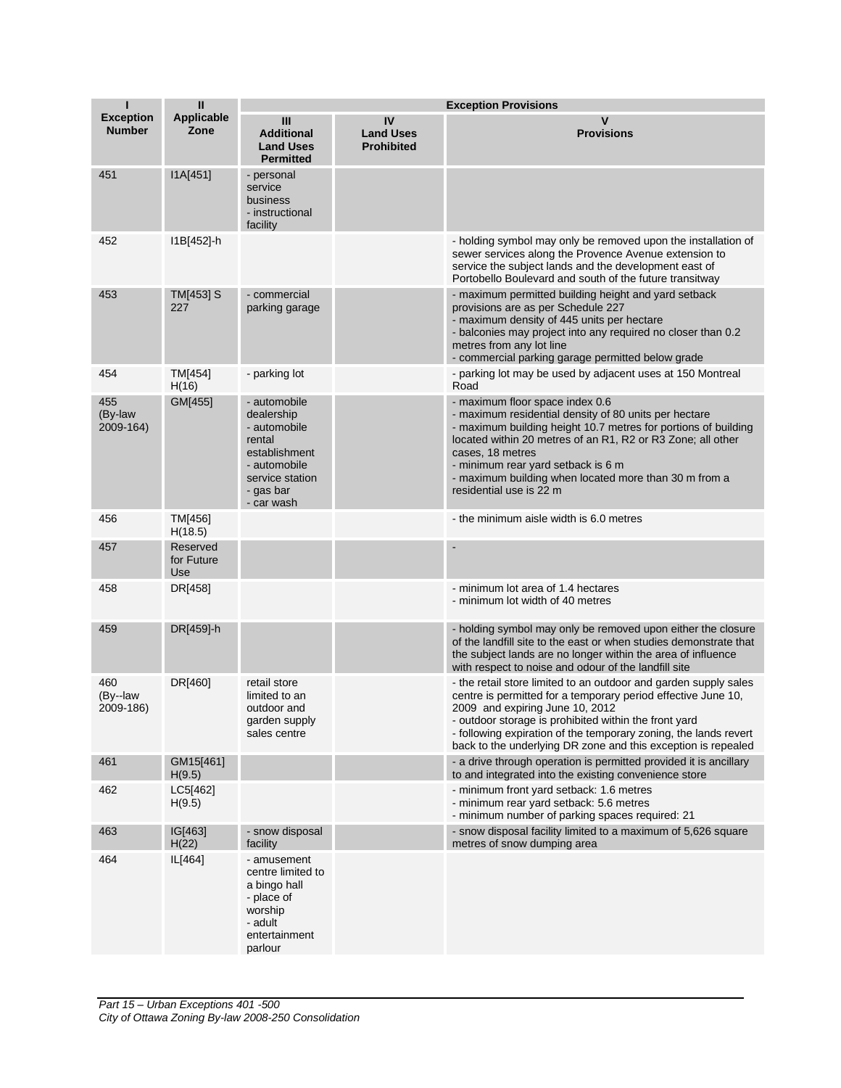| ı                                 | $\mathbf{I}$                  | <b>Exception Provisions</b>                                                                                                         |                                             |                                                                                                                                                                                                                                                                                                                                                                         |
|-----------------------------------|-------------------------------|-------------------------------------------------------------------------------------------------------------------------------------|---------------------------------------------|-------------------------------------------------------------------------------------------------------------------------------------------------------------------------------------------------------------------------------------------------------------------------------------------------------------------------------------------------------------------------|
| <b>Exception</b><br><b>Number</b> | <b>Applicable</b><br>Zone     | Ш<br><b>Additional</b><br><b>Land Uses</b><br><b>Permitted</b>                                                                      | IV<br><b>Land Uses</b><br><b>Prohibited</b> | v<br><b>Provisions</b>                                                                                                                                                                                                                                                                                                                                                  |
| 451                               | I1A[451]                      | - personal<br>service<br>business<br>- instructional<br>facility                                                                    |                                             |                                                                                                                                                                                                                                                                                                                                                                         |
| 452                               | I1B[452]-h                    |                                                                                                                                     |                                             | - holding symbol may only be removed upon the installation of<br>sewer services along the Provence Avenue extension to<br>service the subject lands and the development east of<br>Portobello Boulevard and south of the future transitway                                                                                                                              |
| 453                               | TM[453] S<br>227              | - commercial<br>parking garage                                                                                                      |                                             | - maximum permitted building height and yard setback<br>provisions are as per Schedule 227<br>- maximum density of 445 units per hectare<br>- balconies may project into any required no closer than 0.2<br>metres from any lot line<br>- commercial parking garage permitted below grade                                                                               |
| 454                               | TM[454]<br>H(16)              | - parking lot                                                                                                                       |                                             | - parking lot may be used by adjacent uses at 150 Montreal<br>Road                                                                                                                                                                                                                                                                                                      |
| 455<br>(By-law<br>2009-164)       | GM[455]                       | - automobile<br>dealership<br>- automobile<br>rental<br>establishment<br>- automobile<br>service station<br>- gas bar<br>- car wash |                                             | - maximum floor space index 0.6<br>- maximum residential density of 80 units per hectare<br>- maximum building height 10.7 metres for portions of building<br>located within 20 metres of an R1, R2 or R3 Zone; all other<br>cases, 18 metres<br>- minimum rear yard setback is 6 m<br>- maximum building when located more than 30 m from a<br>residential use is 22 m |
| 456                               | TM[456]<br>H(18.5)            |                                                                                                                                     |                                             | - the minimum aisle width is 6.0 metres                                                                                                                                                                                                                                                                                                                                 |
| 457                               | Reserved<br>for Future<br>Use |                                                                                                                                     |                                             |                                                                                                                                                                                                                                                                                                                                                                         |
| 458                               | DR[458]                       |                                                                                                                                     |                                             | - minimum lot area of 1.4 hectares<br>- minimum lot width of 40 metres                                                                                                                                                                                                                                                                                                  |
| 459                               | DR[459]-h                     |                                                                                                                                     |                                             | - holding symbol may only be removed upon either the closure<br>of the landfill site to the east or when studies demonstrate that<br>the subject lands are no longer within the area of influence<br>with respect to noise and odour of the landfill site                                                                                                               |
| 460<br>(By--law<br>2009-186)      | DR[460]                       | retail store<br>limited to an<br>outdoor and<br>garden supply<br>sales centre                                                       |                                             | - the retail store limited to an outdoor and garden supply sales<br>centre is permitted for a temporary period effective June 10,<br>2009 and expiring June 10, 2012<br>- outdoor storage is prohibited within the front yard<br>- following expiration of the temporary zoning, the lands revert<br>back to the underlying DR zone and this exception is repealed      |
| 461                               | GM15[461]<br>H(9.5)           |                                                                                                                                     |                                             | - a drive through operation is permitted provided it is ancillary<br>to and integrated into the existing convenience store                                                                                                                                                                                                                                              |
| 462                               | LC5[462]<br>H(9.5)            |                                                                                                                                     |                                             | - minimum front yard setback: 1.6 metres<br>- minimum rear yard setback: 5.6 metres<br>- minimum number of parking spaces required: 21                                                                                                                                                                                                                                  |
| 463                               | IG[463]<br>H(22)              | - snow disposal<br>facility                                                                                                         |                                             | - snow disposal facility limited to a maximum of 5,626 square<br>metres of snow dumping area                                                                                                                                                                                                                                                                            |
| 464                               | IL[464]                       | - amusement<br>centre limited to<br>a bingo hall<br>- place of<br>worship<br>- adult<br>entertainment<br>parlour                    |                                             |                                                                                                                                                                                                                                                                                                                                                                         |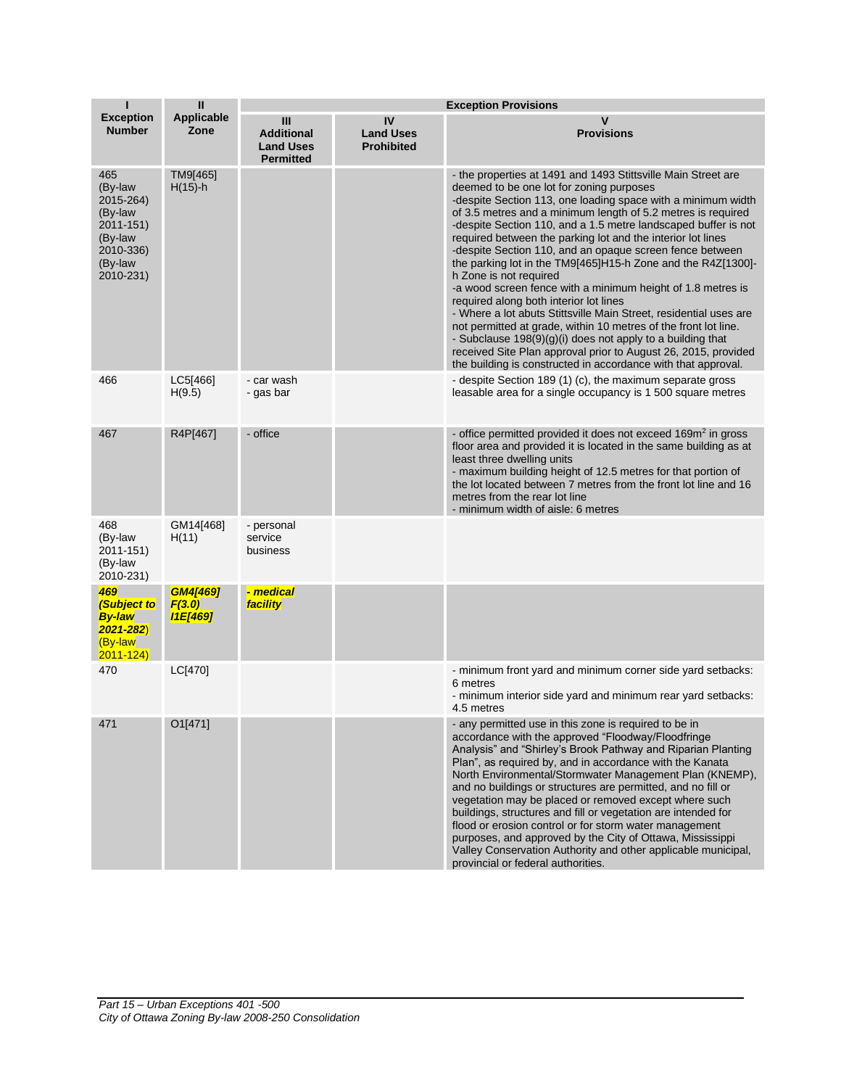| П                                                                                                   | $\mathbf{II}$                                | <b>Exception Provisions</b>                                      |                                             |                                                                                                                                                                                                                                                                                                                                                                                                                                                                                                                                                                                                                                                                                                                                                                                                                                                                                                                                                                                      |  |
|-----------------------------------------------------------------------------------------------------|----------------------------------------------|------------------------------------------------------------------|---------------------------------------------|--------------------------------------------------------------------------------------------------------------------------------------------------------------------------------------------------------------------------------------------------------------------------------------------------------------------------------------------------------------------------------------------------------------------------------------------------------------------------------------------------------------------------------------------------------------------------------------------------------------------------------------------------------------------------------------------------------------------------------------------------------------------------------------------------------------------------------------------------------------------------------------------------------------------------------------------------------------------------------------|--|
| <b>Exception</b><br><b>Number</b>                                                                   | <b>Applicable</b><br>Zone                    | III<br><b>Additional</b><br><b>Land Uses</b><br><b>Permitted</b> | IV<br><b>Land Uses</b><br><b>Prohibited</b> | $\mathsf{v}$<br><b>Provisions</b>                                                                                                                                                                                                                                                                                                                                                                                                                                                                                                                                                                                                                                                                                                                                                                                                                                                                                                                                                    |  |
| 465<br>(By-law<br>2015-264)<br>(By-law<br>2011-151)<br>(By-law<br>2010-336)<br>(By-law<br>2010-231) | TM9[465]<br>$H(15)$ -h                       |                                                                  |                                             | - the properties at 1491 and 1493 Stittsville Main Street are<br>deemed to be one lot for zoning purposes<br>-despite Section 113, one loading space with a minimum width<br>of 3.5 metres and a minimum length of 5.2 metres is required<br>-despite Section 110, and a 1.5 metre landscaped buffer is not<br>required between the parking lot and the interior lot lines<br>-despite Section 110, and an opaque screen fence between<br>the parking lot in the TM9[465]H15-h Zone and the R4Z[1300]-<br>h Zone is not required<br>-a wood screen fence with a minimum height of 1.8 metres is<br>required along both interior lot lines<br>- Where a lot abuts Stittsville Main Street, residential uses are<br>not permitted at grade, within 10 metres of the front lot line.<br>- Subclause $198(9)(g)(i)$ does not apply to a building that<br>received Site Plan approval prior to August 26, 2015, provided<br>the building is constructed in accordance with that approval. |  |
| 466                                                                                                 | LC5[466]<br>H(9.5)                           | - car wash<br>- gas bar                                          |                                             | - despite Section 189 (1) (c), the maximum separate gross<br>leasable area for a single occupancy is 1 500 square metres                                                                                                                                                                                                                                                                                                                                                                                                                                                                                                                                                                                                                                                                                                                                                                                                                                                             |  |
| 467                                                                                                 | R4P[467]                                     | - office                                                         |                                             | - office permitted provided it does not exceed 169m <sup>2</sup> in gross<br>floor area and provided it is located in the same building as at<br>least three dwelling units<br>- maximum building height of 12.5 metres for that portion of<br>the lot located between 7 metres from the front lot line and 16<br>metres from the rear lot line<br>- minimum width of aisle: 6 metres                                                                                                                                                                                                                                                                                                                                                                                                                                                                                                                                                                                                |  |
| 468<br>(By-law<br>2011-151)<br>(By-law<br>2010-231)                                                 | GM14[468]<br>H(11)                           | - personal<br>service<br>business                                |                                             |                                                                                                                                                                                                                                                                                                                                                                                                                                                                                                                                                                                                                                                                                                                                                                                                                                                                                                                                                                                      |  |
| 469<br><b>Subject to</b><br><b>By-law</b><br>$2021 - 282$<br>(By-law<br>$2011 - 124$                | <b>GM4[469]</b><br>F(3.0)<br><b>I1E[469]</b> | - medical<br>facility                                            |                                             |                                                                                                                                                                                                                                                                                                                                                                                                                                                                                                                                                                                                                                                                                                                                                                                                                                                                                                                                                                                      |  |
| 470                                                                                                 | LC[470]                                      |                                                                  |                                             | - minimum front yard and minimum corner side yard setbacks:<br>6 metres<br>- minimum interior side yard and minimum rear yard setbacks:<br>4.5 metres                                                                                                                                                                                                                                                                                                                                                                                                                                                                                                                                                                                                                                                                                                                                                                                                                                |  |
| 471                                                                                                 | O1[471]                                      |                                                                  |                                             | - any permitted use in this zone is required to be in<br>accordance with the approved "Floodway/Floodfringe<br>Analysis" and "Shirley's Brook Pathway and Riparian Planting<br>Plan", as required by, and in accordance with the Kanata<br>North Environmental/Stormwater Management Plan (KNEMP),<br>and no buildings or structures are permitted, and no fill or<br>vegetation may be placed or removed except where such<br>buildings, structures and fill or vegetation are intended for<br>flood or erosion control or for storm water management<br>purposes, and approved by the City of Ottawa, Mississippi<br>Valley Conservation Authority and other applicable municipal,<br>provincial or federal authorities.                                                                                                                                                                                                                                                           |  |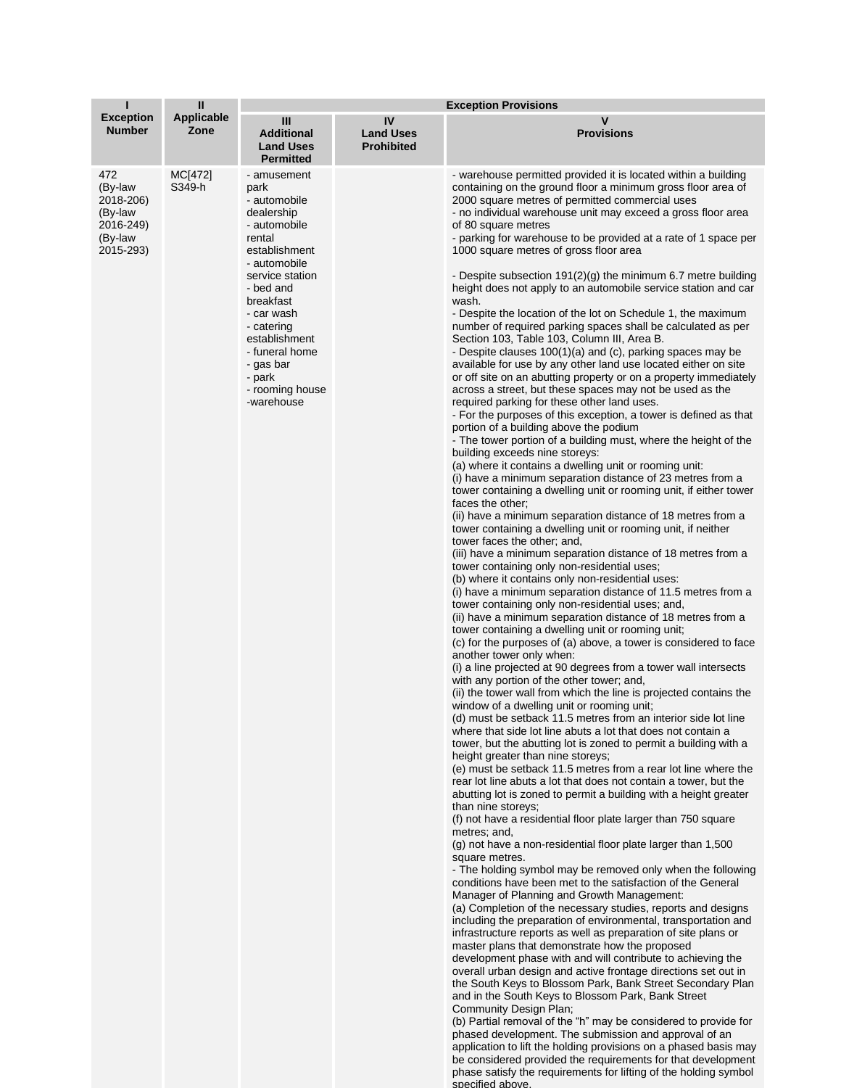|                                                                             | $\mathbf{I}$       | <b>Exception Provisions</b>                                                                                                                                                                                                                                                      |                                             |                                                                                                                                                                                                                                                                                                                                                                                                                                                                                                                                                                                                                                                                                                                                                                                                                                                                                                                                                                                                                                                                                                                                                                                                                                                                                                                                                                                                                                                                                                                                                                                                                                                                                                                                                                                                                                                                                                                                                                                                                                                                                                                                                                                                                                                                                                                                                                                                                                                                                                                                                                                                                                                                                                                                                                                                                                                                                                                                                                                                                                                                                                                                                                                                                                                                                                                                                                                                                                                                                                                                                                                                                                                                                                                                                                                                                                                                                                                                                                                                                                                                                                          |  |  |  |
|-----------------------------------------------------------------------------|--------------------|----------------------------------------------------------------------------------------------------------------------------------------------------------------------------------------------------------------------------------------------------------------------------------|---------------------------------------------|----------------------------------------------------------------------------------------------------------------------------------------------------------------------------------------------------------------------------------------------------------------------------------------------------------------------------------------------------------------------------------------------------------------------------------------------------------------------------------------------------------------------------------------------------------------------------------------------------------------------------------------------------------------------------------------------------------------------------------------------------------------------------------------------------------------------------------------------------------------------------------------------------------------------------------------------------------------------------------------------------------------------------------------------------------------------------------------------------------------------------------------------------------------------------------------------------------------------------------------------------------------------------------------------------------------------------------------------------------------------------------------------------------------------------------------------------------------------------------------------------------------------------------------------------------------------------------------------------------------------------------------------------------------------------------------------------------------------------------------------------------------------------------------------------------------------------------------------------------------------------------------------------------------------------------------------------------------------------------------------------------------------------------------------------------------------------------------------------------------------------------------------------------------------------------------------------------------------------------------------------------------------------------------------------------------------------------------------------------------------------------------------------------------------------------------------------------------------------------------------------------------------------------------------------------------------------------------------------------------------------------------------------------------------------------------------------------------------------------------------------------------------------------------------------------------------------------------------------------------------------------------------------------------------------------------------------------------------------------------------------------------------------------------------------------------------------------------------------------------------------------------------------------------------------------------------------------------------------------------------------------------------------------------------------------------------------------------------------------------------------------------------------------------------------------------------------------------------------------------------------------------------------------------------------------------------------------------------------------------------------------------------------------------------------------------------------------------------------------------------------------------------------------------------------------------------------------------------------------------------------------------------------------------------------------------------------------------------------------------------------------------------------------------------------------------------------------------------------------|--|--|--|
| <b>Exception</b><br><b>Number</b>                                           | Applicable<br>Zone | Ш<br><b>Additional</b><br><b>Land Uses</b><br><b>Permitted</b>                                                                                                                                                                                                                   | IV<br><b>Land Uses</b><br><b>Prohibited</b> | v<br><b>Provisions</b>                                                                                                                                                                                                                                                                                                                                                                                                                                                                                                                                                                                                                                                                                                                                                                                                                                                                                                                                                                                                                                                                                                                                                                                                                                                                                                                                                                                                                                                                                                                                                                                                                                                                                                                                                                                                                                                                                                                                                                                                                                                                                                                                                                                                                                                                                                                                                                                                                                                                                                                                                                                                                                                                                                                                                                                                                                                                                                                                                                                                                                                                                                                                                                                                                                                                                                                                                                                                                                                                                                                                                                                                                                                                                                                                                                                                                                                                                                                                                                                                                                                                                   |  |  |  |
| 472<br>(By-law<br>2018-206)<br>(By-law<br>2016-249)<br>(By-law<br>2015-293) | MC[472]<br>S349-h  | - amusement<br>park<br>- automobile<br>dealership<br>- automobile<br>rental<br>establishment<br>- automobile<br>service station<br>- bed and<br>breakfast<br>- car wash<br>- catering<br>establishment<br>- funeral home<br>- gas bar<br>- park<br>- rooming house<br>-warehouse |                                             | - warehouse permitted provided it is located within a building<br>containing on the ground floor a minimum gross floor area of<br>2000 square metres of permitted commercial uses<br>- no individual warehouse unit may exceed a gross floor area<br>of 80 square metres<br>- parking for warehouse to be provided at a rate of 1 space per<br>1000 square metres of gross floor area<br>- Despite subsection 191(2)(g) the minimum 6.7 metre building<br>height does not apply to an automobile service station and car<br>wash.<br>- Despite the location of the lot on Schedule 1, the maximum<br>number of required parking spaces shall be calculated as per<br>Section 103, Table 103, Column III, Area B.<br>- Despite clauses 100(1)(a) and (c), parking spaces may be<br>available for use by any other land use located either on site<br>or off site on an abutting property or on a property immediately<br>across a street, but these spaces may not be used as the<br>required parking for these other land uses.<br>- For the purposes of this exception, a tower is defined as that<br>portion of a building above the podium<br>- The tower portion of a building must, where the height of the<br>building exceeds nine storeys:<br>(a) where it contains a dwelling unit or rooming unit:<br>(i) have a minimum separation distance of 23 metres from a<br>tower containing a dwelling unit or rooming unit, if either tower<br>faces the other:<br>(ii) have a minimum separation distance of 18 metres from a<br>tower containing a dwelling unit or rooming unit, if neither<br>tower faces the other; and,<br>(iii) have a minimum separation distance of 18 metres from a<br>tower containing only non-residential uses;<br>(b) where it contains only non-residential uses:<br>(i) have a minimum separation distance of 11.5 metres from a<br>tower containing only non-residential uses; and,<br>(ii) have a minimum separation distance of 18 metres from a<br>tower containing a dwelling unit or rooming unit;<br>(c) for the purposes of (a) above, a tower is considered to face<br>another tower only when:<br>(i) a line projected at 90 degrees from a tower wall intersects<br>with any portion of the other tower; and,<br>(ii) the tower wall from which the line is projected contains the<br>window of a dwelling unit or rooming unit;<br>(d) must be setback 11.5 metres from an interior side lot line<br>where that side lot line abuts a lot that does not contain a<br>tower, but the abutting lot is zoned to permit a building with a<br>height greater than nine storeys;<br>(e) must be setback 11.5 metres from a rear lot line where the<br>rear lot line abuts a lot that does not contain a tower, but the<br>abutting lot is zoned to permit a building with a height greater<br>than nine storeys;<br>(f) not have a residential floor plate larger than 750 square<br>metres; and,<br>$(q)$ not have a non-residential floor plate larger than 1,500<br>square metres.<br>- The holding symbol may be removed only when the following<br>conditions have been met to the satisfaction of the General<br>Manager of Planning and Growth Management:<br>(a) Completion of the necessary studies, reports and designs<br>including the preparation of environmental, transportation and<br>infrastructure reports as well as preparation of site plans or<br>master plans that demonstrate how the proposed<br>development phase with and will contribute to achieving the<br>overall urban design and active frontage directions set out in<br>the South Keys to Blossom Park, Bank Street Secondary Plan<br>and in the South Keys to Blossom Park, Bank Street<br>Community Design Plan;<br>(b) Partial removal of the "h" may be considered to provide for<br>phased development. The submission and approval of an<br>application to lift the holding provisions on a phased basis may<br>be considered provided the requirements for that development<br>phase satisfy the requirements for lifting of the holding symbol<br>specified above. |  |  |  |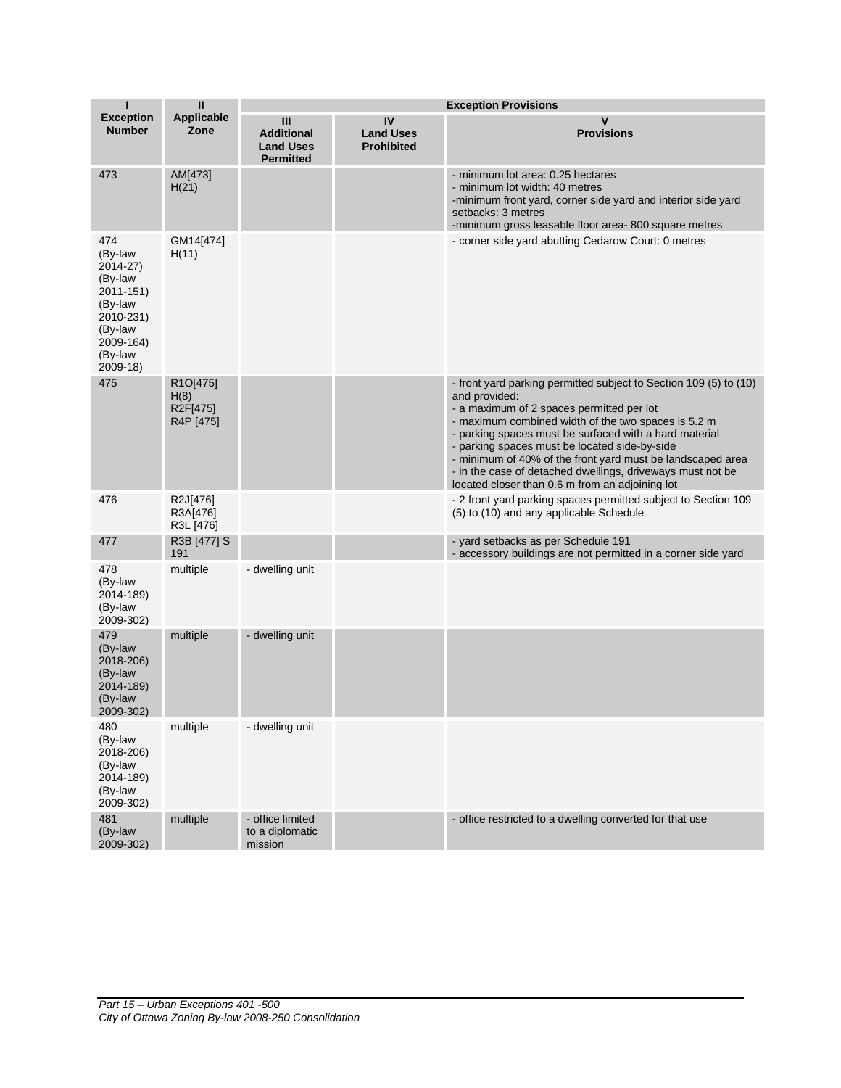| П                                                                                                                          | $\mathbf{I}$                                           | <b>Exception Provisions</b>                                      |                                             |                                                                                                                                                                                                                                                                                                                                                                                                                                                                                  |  |
|----------------------------------------------------------------------------------------------------------------------------|--------------------------------------------------------|------------------------------------------------------------------|---------------------------------------------|----------------------------------------------------------------------------------------------------------------------------------------------------------------------------------------------------------------------------------------------------------------------------------------------------------------------------------------------------------------------------------------------------------------------------------------------------------------------------------|--|
| <b>Exception</b><br><b>Number</b>                                                                                          | <b>Applicable</b><br>Zone                              | III<br><b>Additional</b><br><b>Land Uses</b><br><b>Permitted</b> | IV<br><b>Land Uses</b><br><b>Prohibited</b> | V<br><b>Provisions</b>                                                                                                                                                                                                                                                                                                                                                                                                                                                           |  |
| 473                                                                                                                        | AM[473]<br>H(21)                                       |                                                                  |                                             | - minimum lot area: 0.25 hectares<br>- minimum lot width: 40 metres<br>-minimum front yard, corner side yard and interior side yard<br>setbacks: 3 metres<br>-minimum gross leasable floor area-800 square metres                                                                                                                                                                                                                                                                |  |
| 474<br>(By-law<br>2014-27)<br>(By-law<br>2011-151)<br>(By-law<br>2010-231)<br>(By-law<br>2009-164)<br>(By-law<br>$2009-18$ | GM14[474]<br>H(11)                                     |                                                                  |                                             | - corner side yard abutting Cedarow Court: 0 metres                                                                                                                                                                                                                                                                                                                                                                                                                              |  |
| 475                                                                                                                        | R <sub>1</sub> O[475]<br>H(8)<br>R2F[475]<br>R4P [475] |                                                                  |                                             | - front yard parking permitted subject to Section 109 (5) to (10)<br>and provided:<br>- a maximum of 2 spaces permitted per lot<br>- maximum combined width of the two spaces is 5.2 m<br>- parking spaces must be surfaced with a hard material<br>- parking spaces must be located side-by-side<br>- minimum of 40% of the front yard must be landscaped area<br>- in the case of detached dwellings, driveways must not be<br>located closer than 0.6 m from an adjoining lot |  |
| 476                                                                                                                        | R2J[476]<br>R3A[476]<br>R3L [476]                      |                                                                  |                                             | - 2 front yard parking spaces permitted subject to Section 109<br>(5) to (10) and any applicable Schedule                                                                                                                                                                                                                                                                                                                                                                        |  |
| 477                                                                                                                        | R3B [477] S<br>191                                     |                                                                  |                                             | - yard setbacks as per Schedule 191<br>- accessory buildings are not permitted in a corner side yard                                                                                                                                                                                                                                                                                                                                                                             |  |
| 478<br>(By-law<br>2014-189)<br>(By-law<br>2009-302)                                                                        | multiple                                               | - dwelling unit                                                  |                                             |                                                                                                                                                                                                                                                                                                                                                                                                                                                                                  |  |
| 479<br>(By-law<br>2018-206)<br>(By-law<br>2014-189)<br>(By-law<br>2009-302)                                                | multiple                                               | - dwelling unit                                                  |                                             |                                                                                                                                                                                                                                                                                                                                                                                                                                                                                  |  |
| 480<br>(By-law<br>2018-206)<br>(By-law<br>2014-189)<br>(By-law<br>2009-302)                                                | multiple                                               | - dwelling unit                                                  |                                             |                                                                                                                                                                                                                                                                                                                                                                                                                                                                                  |  |
| 481<br>(By-law<br>2009-302)                                                                                                | multiple                                               | - office limited<br>to a diplomatic<br>mission                   |                                             | - office restricted to a dwelling converted for that use                                                                                                                                                                                                                                                                                                                                                                                                                         |  |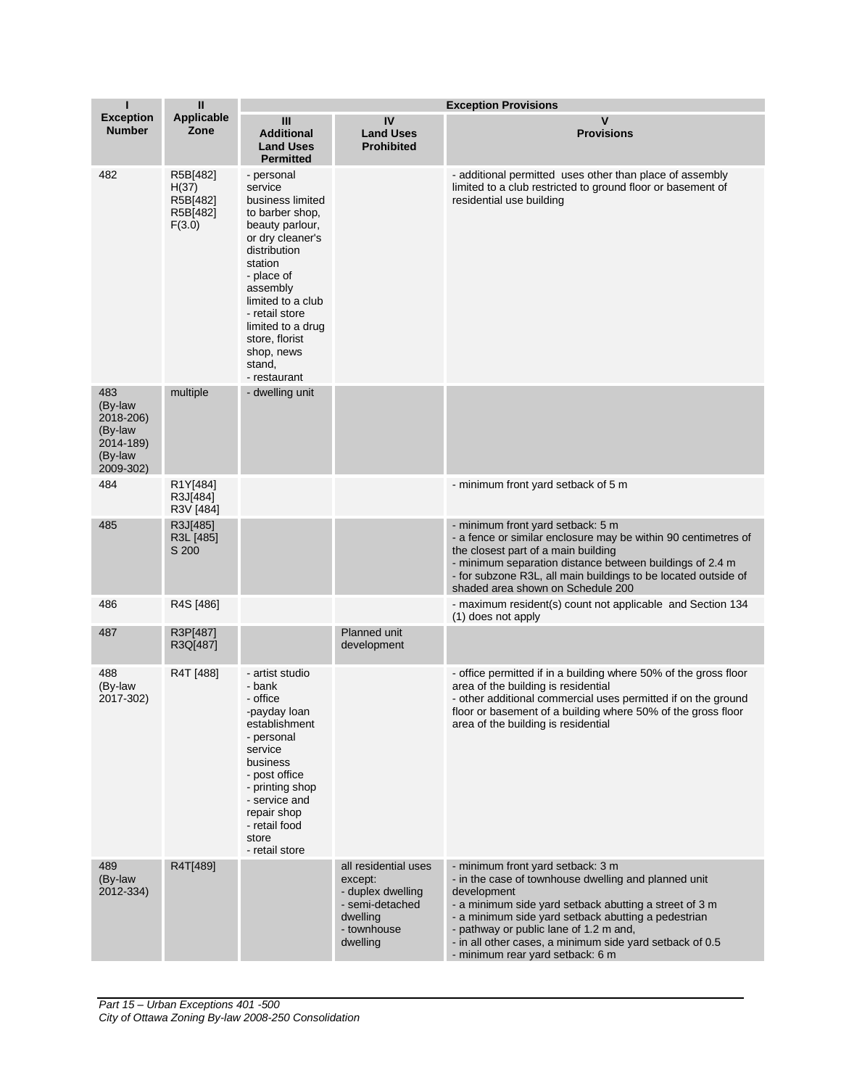| П                                                                           | $\mathbf{II}$                                       | <b>Exception Provisions</b>                                                                                                                                                                                                                                                    |                                                                                                                |                                                                                                                                                                                                                                                                                                                                                                     |
|-----------------------------------------------------------------------------|-----------------------------------------------------|--------------------------------------------------------------------------------------------------------------------------------------------------------------------------------------------------------------------------------------------------------------------------------|----------------------------------------------------------------------------------------------------------------|---------------------------------------------------------------------------------------------------------------------------------------------------------------------------------------------------------------------------------------------------------------------------------------------------------------------------------------------------------------------|
| <b>Exception</b><br><b>Number</b>                                           | <b>Applicable</b><br>Zone                           | Ш<br><b>Additional</b><br><b>Land Uses</b><br><b>Permitted</b>                                                                                                                                                                                                                 | IV<br><b>Land Uses</b><br><b>Prohibited</b>                                                                    | $\mathsf{v}$<br><b>Provisions</b>                                                                                                                                                                                                                                                                                                                                   |
| 482                                                                         | R5B[482]<br>H(37)<br>R5B[482]<br>R5B[482]<br>F(3.0) | - personal<br>service<br>business limited<br>to barber shop,<br>beauty parlour,<br>or dry cleaner's<br>distribution<br>station<br>- place of<br>assembly<br>limited to a club<br>- retail store<br>limited to a drug<br>store, florist<br>shop, news<br>stand,<br>- restaurant |                                                                                                                | - additional permitted uses other than place of assembly<br>limited to a club restricted to ground floor or basement of<br>residential use building                                                                                                                                                                                                                 |
| 483<br>(By-law<br>2018-206)<br>(By-law<br>2014-189)<br>(By-law<br>2009-302) | multiple                                            | - dwelling unit                                                                                                                                                                                                                                                                |                                                                                                                |                                                                                                                                                                                                                                                                                                                                                                     |
| 484                                                                         | R1Y[484]<br>R3J[484]<br>R3V [484]                   |                                                                                                                                                                                                                                                                                |                                                                                                                | - minimum front yard setback of 5 m                                                                                                                                                                                                                                                                                                                                 |
| 485                                                                         | R3J[485]<br>R3L [485]<br>S 200                      |                                                                                                                                                                                                                                                                                |                                                                                                                | - minimum front yard setback: 5 m<br>- a fence or similar enclosure may be within 90 centimetres of<br>the closest part of a main building<br>- minimum separation distance between buildings of 2.4 m<br>- for subzone R3L, all main buildings to be located outside of<br>shaded area shown on Schedule 200                                                       |
| 486                                                                         | R4S [486]                                           |                                                                                                                                                                                                                                                                                |                                                                                                                | - maximum resident(s) count not applicable and Section 134<br>(1) does not apply                                                                                                                                                                                                                                                                                    |
| 487                                                                         | R3P[487]<br>R3Q[487]                                |                                                                                                                                                                                                                                                                                | Planned unit<br>development                                                                                    |                                                                                                                                                                                                                                                                                                                                                                     |
| 488<br>(By-law<br>2017-302)                                                 | R4T [488]                                           | - artist studio<br>- bank<br>- office<br>-payday loan<br>establishment<br>- personal<br>service<br>business<br>- post office<br>- printing shop<br>- service and<br>repair shop<br>- retail food<br>store<br>- retail store                                                    |                                                                                                                | - office permitted if in a building where 50% of the gross floor<br>area of the building is residential<br>- other additional commercial uses permitted if on the ground<br>floor or basement of a building where 50% of the gross floor<br>area of the building is residential                                                                                     |
| 489<br>(By-law<br>2012-334)                                                 | R4T[489]                                            |                                                                                                                                                                                                                                                                                | all residential uses<br>except:<br>- duplex dwelling<br>- semi-detached<br>dwelling<br>- townhouse<br>dwelling | - minimum front yard setback: 3 m<br>- in the case of townhouse dwelling and planned unit<br>development<br>- a minimum side yard setback abutting a street of 3 m<br>- a minimum side yard setback abutting a pedestrian<br>- pathway or public lane of 1.2 m and,<br>- in all other cases, a minimum side yard setback of 0.5<br>- minimum rear yard setback: 6 m |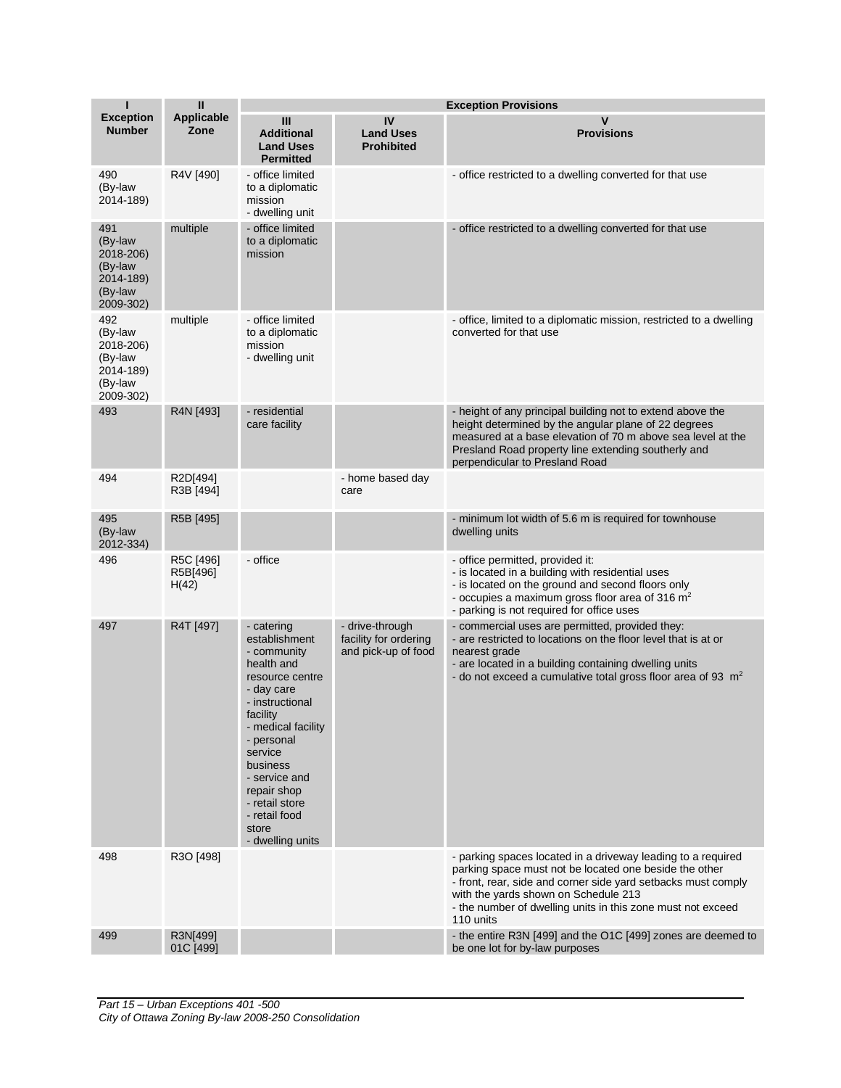| П                                                                           | $\mathbf{I}$                   |                                                                                                                                                                                                                                                                                     | <b>Exception Provisions</b>                                     |                                                                                                                                                                                                                                                                                                             |  |
|-----------------------------------------------------------------------------|--------------------------------|-------------------------------------------------------------------------------------------------------------------------------------------------------------------------------------------------------------------------------------------------------------------------------------|-----------------------------------------------------------------|-------------------------------------------------------------------------------------------------------------------------------------------------------------------------------------------------------------------------------------------------------------------------------------------------------------|--|
| <b>Exception</b><br><b>Number</b>                                           | <b>Applicable</b><br>Zone      | Ш<br><b>Additional</b><br><b>Land Uses</b><br><b>Permitted</b>                                                                                                                                                                                                                      | IV<br><b>Land Uses</b><br><b>Prohibited</b>                     | V<br><b>Provisions</b>                                                                                                                                                                                                                                                                                      |  |
| 490<br>(By-law<br>2014-189)                                                 | R4V [490]                      | - office limited<br>to a diplomatic<br>mission<br>- dwelling unit                                                                                                                                                                                                                   |                                                                 | - office restricted to a dwelling converted for that use                                                                                                                                                                                                                                                    |  |
| 491<br>(By-law<br>2018-206)<br>(By-law<br>2014-189)<br>(By-law<br>2009-302) | multiple                       | - office limited<br>to a diplomatic<br>mission                                                                                                                                                                                                                                      |                                                                 | - office restricted to a dwelling converted for that use                                                                                                                                                                                                                                                    |  |
| 492<br>(By-law<br>2018-206)<br>(By-law<br>2014-189)<br>(By-law<br>2009-302) | multiple                       | - office limited<br>to a diplomatic<br>mission<br>- dwelling unit                                                                                                                                                                                                                   |                                                                 | - office, limited to a diplomatic mission, restricted to a dwelling<br>converted for that use                                                                                                                                                                                                               |  |
| 493                                                                         | R4N [493]                      | - residential<br>care facility                                                                                                                                                                                                                                                      |                                                                 | - height of any principal building not to extend above the<br>height determined by the angular plane of 22 degrees<br>measured at a base elevation of 70 m above sea level at the<br>Presland Road property line extending southerly and<br>perpendicular to Presland Road                                  |  |
| 494                                                                         | R2D[494]<br>R3B [494]          |                                                                                                                                                                                                                                                                                     | - home based day<br>care                                        |                                                                                                                                                                                                                                                                                                             |  |
| 495<br>(By-law<br>2012-334)                                                 | R5B [495]                      |                                                                                                                                                                                                                                                                                     |                                                                 | - minimum lot width of 5.6 m is required for townhouse<br>dwelling units                                                                                                                                                                                                                                    |  |
| 496                                                                         | R5C [496]<br>R5B[496]<br>H(42) | - office                                                                                                                                                                                                                                                                            |                                                                 | - office permitted, provided it:<br>- is located in a building with residential uses<br>- is located on the ground and second floors only<br>- occupies a maximum gross floor area of 316 $m2$<br>- parking is not required for office uses                                                                 |  |
| 497                                                                         | R4T [497]                      | - catering<br>establishment<br>- community<br>health and<br>resource centre<br>- day care<br>- instructional<br>facility<br>- medical facility<br>- personal<br>service<br>business<br>- service and<br>repair shop<br>- retail store<br>- retail food<br>store<br>- dwelling units | - drive-through<br>facility for ordering<br>and pick-up of food | - commercial uses are permitted, provided they:<br>- are restricted to locations on the floor level that is at or<br>nearest grade<br>- are located in a building containing dwelling units<br>- do not exceed a cumulative total gross floor area of 93 $m2$                                               |  |
| 498                                                                         | R3O [498]                      |                                                                                                                                                                                                                                                                                     |                                                                 | - parking spaces located in a driveway leading to a required<br>parking space must not be located one beside the other<br>- front, rear, side and corner side yard setbacks must comply<br>with the yards shown on Schedule 213<br>- the number of dwelling units in this zone must not exceed<br>110 units |  |
| 499                                                                         | R3N[499]<br>01C [499]          |                                                                                                                                                                                                                                                                                     |                                                                 | - the entire R3N [499] and the O1C [499] zones are deemed to<br>be one lot for by-law purposes                                                                                                                                                                                                              |  |